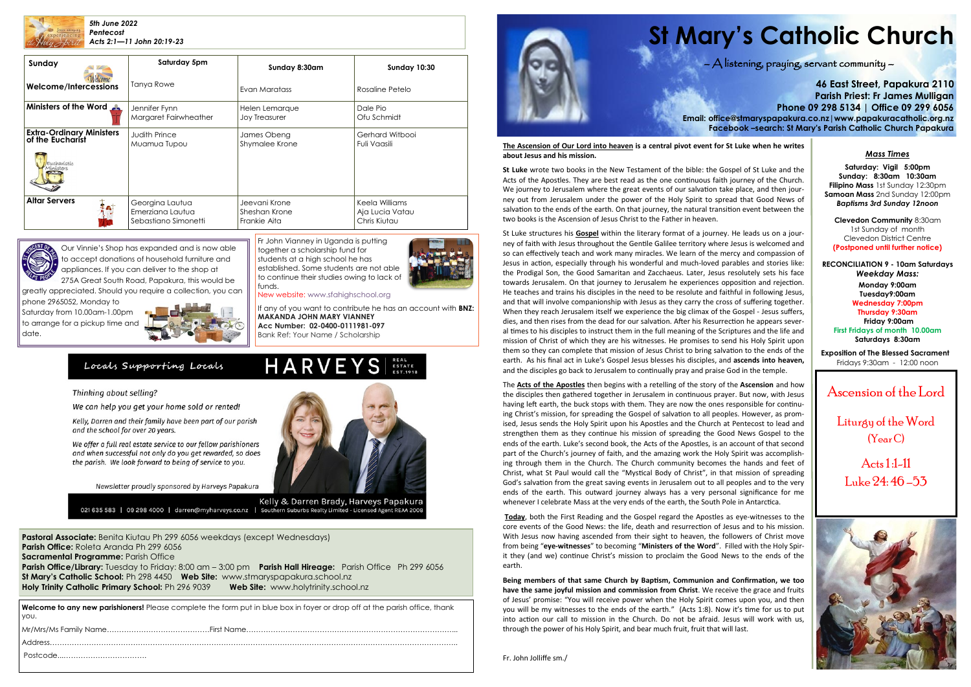

**Pastoral Associate:** Benita Kiutau Ph 299 6056 weekdays (except Wednesdays) **Parish Office:** Roleta Aranda Ph 299 6056 **Sacramental Programme: Parish Office Parish Office/Library:** Tuesday to Friday: 8:00 am – 3:00 pm **Parish Hall Hireage:** Parish Office Ph 299 6056 **St Mary's Catholic School:** Ph 298 4450 **Web Site:** [www.stmaryspapakura.school.nz](http://www.stmaryspapakura.school.nz) **Holy Trinity Catholic Primary School:** Ph 296 9039 **Web Site:** www.holytrinity.school.nz

# **St Mary's Catholic Church**

### $\bigwedge$  listening, praying, servant community  $-$

**46 East Street, Papakura 2110 Parish Priest: Fr James Mulligan Phone 09 298 5134 | Office 09 299 6056 Email: office@stmaryspapakura.co.nz|www.papakuracatholic.org.nz Facebook –search: St Mary's Parish Catholic Church Papakura**

Ascension of the Lord

Liturgy of the Word (Year C)

Acts 1 :1-11 Luke 24: 46 –53



| Sunday                                                                          | Saturday 5pm                                                | Sunday 8:30am                                  | <b>Sunday 10:30</b>                               |  |
|---------------------------------------------------------------------------------|-------------------------------------------------------------|------------------------------------------------|---------------------------------------------------|--|
| Welcome/Intercessions                                                           | <b>Tanya Rowe</b>                                           | Evan Maratass                                  | Rosaline Petelo                                   |  |
| Ministers of the Word                                                           | Jennifer Fynn<br>Margaret Fairwheather                      | Helen Lemarque<br><b>Joy Treasurer</b>         | Dale Pio<br>Ofu Schmidt                           |  |
| <b>Extra-Ordinary Ministers</b><br>of the Eucharist<br>Eucharistic<br>linisters | <b>Judith Prince</b><br>Muamua Tupou                        | James Obeng<br>Shymalee Krone                  | Gerhard Witbooi<br>Fuli Vaasili                   |  |
| <b>Altar Servers</b>                                                            | Georgina Lautua<br>Emerziana Lautua<br>Sebastiano Simonetti | Jeevani Krone<br>Sheshan Krone<br>Frankie Aita | Keela Williams<br>Aja Lucia Vatau<br>Chris Kiutau |  |



Fr John Vianney in Uganda is putting together a scholarship fund for students at a high school he has established. Some students are not able to continue their studies owing to lack of funds.



New website: www.sfahighschool.org

If any of you want to contribute he has an account with **BNZ: MAKANDA JOHN MARY VIANNEY Acc Number: 02-0400-0111981-097** Bank Ref: Your Name / Scholarship

### Locals Supporting Locals

### Thinking about selling?

We can help you get your home sold or rented!

Kelly, Darren and their family have been part of our parish and the school for over 20 years.

We offer a full real estate service to our fellow parishioners and when successful not only do you get rewarded, so does the parish. We look forward to being of service to you.

Newsletter proudly sponsored by Harveys Papakura



HARVEYS S

Kelly & Darren Brady, Harveys Papakura 021 635 583 | 09 298 4000 | darren@myharveys.co.nz | Southern Suburbs Realty Limited - Licensed Agent REAA 2008

**Welcome to any new parishioners!** Please complete the form put in blue box in foyer or drop off at the parish office, thank you.



### *Mass Times*

**Saturday: Vigil 5:00pm Sunday: 8:30am 10:30am Filipino Mass** 1st Sunday 12:30pm **Samoan Mass** 2nd Sunday 12:00pm *Baptisms 3rd Sunday 12noon*

**Clevedon Community** 8:30am 1st Sunday of month Clevedon District Centre **(Postponed until further notice)**

**RECONCILIATION 9 - 10am Saturdays** *Weekday Mass:* **Monday 9:00am Tuesday9:00am Wednesday 7:00pm Thursday 9:30am Friday 9:00am First Fridays of month 10.00am Saturdays 8:30am Exposition of The Blessed Sacrament**

Fridays 9:30am - 12:00 noon

Our Vinnie's Shop has expanded and is now able to accept donations of household furniture and appliances. If you can deliver to the shop at

275A Great South Road, Papakura, this would be greatly appreciated. Should you require a collection, you can

phone 2965052, Monday to Saturday from 10.00am-1.00pm to arrange for a pickup time and date.



### **The Ascension of Our Lord into heaven is a central pivot event for St Luke when he writes about Jesus and his mission.**

**St Luke** wrote two books in the New Testament of the bible: the Gospel of St Luke and the Acts of the Apostles. They are best read as the one continuous faith journey of the Church. We journey to Jerusalem where the great events of our salvation take place, and then journey out from Jerusalem under the power of the Holy Spirit to spread that Good News of salvation to the ends of the earth. On that journey, the natural transition event between the two books is the Ascension of Jesus Christ to the Father in heaven.

St Luke structures his **Gospel** within the literary format of a journey. He leads us on a journey of faith with Jesus throughout the Gentile Galilee territory where Jesus is welcomed and so can effectively teach and work many miracles. We learn of the mercy and compassion of Jesus in action, especially through his wonderful and much-loved parables and stories like: the Prodigal Son, the Good Samaritan and Zacchaeus. Later, Jesus resolutely sets his face towards Jerusalem. On that journey to Jerusalem he experiences opposition and rejection. He teaches and trains his disciples in the need to be resolute and faithful in following Jesus, and that will involve companionship with Jesus as they carry the cross of suffering together. When they reach Jerusalem itself we experience the big climax of the Gospel - Jesus suffers, dies, and then rises from the dead for our salvation. After his Resurrection he appears several times to his disciples to instruct them in the full meaning of the Scriptures and the life and mission of Christ of which they are his witnesses. He promises to send his Holy Spirit upon them so they can complete that mission of Jesus Christ to bring salvation to the ends of the earth. As his final act in Luke's Gospel Jesus blesses his disciples, and **ascends into heaven,**  and the disciples go back to Jerusalem to continually pray and praise God in the temple.

The **Acts of the Apostles** then begins with a retelling of the story of the **Ascension** and how the disciples then gathered together in Jerusalem in continuous prayer. But now, with Jesus having left earth, the buck stops with them. They are now the ones responsible for continuing Christ's mission, for spreading the Gospel of salvation to all peoples. However, as promised, Jesus sends the Holy Spirit upon his Apostles and the Church at Pentecost to lead and strengthen them as they continue his mission of spreading the Good News Gospel to the ends of the earth. Luke's second book, the Acts of the Apostles, is an account of that second part of the Church's journey of faith, and the amazing work the Holy Spirit was accomplishing through them in the Church. The Church community becomes the hands and feet of Christ, what St Paul would call the "Mystical Body of Christ", in that mission of spreading God's salvation from the great saving events in Jerusalem out to all peoples and to the very ends of the earth. This outward journey always has a very personal significance for me whenever I celebrate Mass at the very ends of the earth, the South Pole in Antarctica.

**Today**, both the First Reading and the Gospel regard the Apostles as eye-witnesses to the core events of the Good News: the life, death and resurrection of Jesus and to his mission. With Jesus now having ascended from their sight to heaven, the followers of Christ move from being "**eye-witnesses**" to becoming "**Ministers of the Word**". Filled with the Holy Spirit they (and we) continue Christ's mission to proclaim the Good News to the ends of the earth.

**Being members of that same Church by Baptism, Communion and Confirmation, we too have the same joyful mission and commission from Christ**. We receive the grace and fruits of Jesus' promise: "You will receive power when the Holy Spirit comes upon you, and then you will be my witnesses to the ends of the earth." (Acts 1:8). Now it's time for us to put into action our call to mission in the Church. Do not be afraid. Jesus will work with us, through the power of his Holy Spirit, and bear much fruit, fruit that will last.